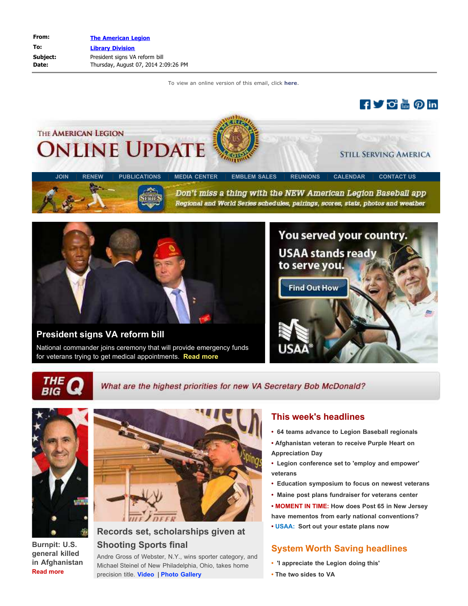# THE AMERICAN LEGION **NLINE UPDAT**

Don't miss a thing with the NEW American Legion Baseball app Regional and World Series schedules, pairings, scores, stats, photos and weather

**[JOIN](http://www.legionemail.com/t/28698155/973693444/53943844/1/84772/)** | **[RENEW](http://www.legionemail.com/t/28698155/973693444/54495598/0/84772/)** | **[PUBLICATIONS](http://www.legionemail.com/t/28698155/973693444/53943847/0/84772/)** | **[MEDIA CENTER](http://www.legionemail.com/t/28698155/973693444/53943848/0/84772/)** | **[EMBLEM SALES](http://www.legionemail.com/t/28698155/973693444/23248173/0/84772/)** | **[REUNIONS](http://www.legionemail.com/t/28698155/973693444/53943849/0/84772/)** | **[CALENDAR](http://www.legionemail.com/t/28698155/973693444/53943850/0/84772/)** | **[CONTACT US](http://www.legionemail.com/t/28698155/973693444/53943851/0/84772/)**

**[President signs VA reform bill](http://www.legionemail.com/t/28698155/973693444/62438785/1/84772/)**

National commander joins ceremony that will provide emergency funds for veterans trying to get medical appointments. **[Read more](http://www.legionemail.com/t/28698155/973693444/62438785/2/84772/)**



**fy o <sub>體</sub> の in** 

**STILL SERVING AMERICA** 

**RIG** 

What are the highest priorities for new VA Secretary Bob McDonald?



**Burnpit: U.S. general killed in Afghanistan [Read more](http://www.legionemail.com/t/28698155/973693444/62438792/0/84772/)**



# **Records set, scholarships given at Shooting Sports final**

Andre Gross of Webster, N.Y., wins sporter category, and Michael Steinel of New Philadelphia, Ohio, takes home precision title. **[Video](http://www.legionemail.com/t/28698155/973693444/62438797/0/84772/)** | **[Photo Gallery](http://www.legionemail.com/t/28698155/973693444/62438799/0/84772/)**

# **This week's headlines**

- **• [64 teams advance to Legion Baseball regionals](http://www.legionemail.com/t/28698155/973693444/62425971/0/84772/)**
- **• [Afghanistan veteran to receive Purple Heart on](http://www.legionemail.com/t/28698155/973693444/62438802/0/84772/) [Appreciation Day](http://www.legionemail.com/t/28698155/973693444/62438802/0/84772/)**
- **• [Legion conference set to 'employ and empower'](http://www.legionemail.com/t/28698155/973693444/62425969/0/84772/) [veterans](http://www.legionemail.com/t/28698155/973693444/62425969/0/84772/)**
- **• [Education symposium to focus on newest veterans](http://www.legionemail.com/t/28698155/973693444/62438806/0/84772/)**
- **• [Maine post plans fundraiser for veterans center](http://www.legionemail.com/t/28698155/973693444/62438808/0/84772/)**
- **• MOMENT IN TIME: [How does Post 65 in New Jersey](http://www.legionemail.com/t/28698155/973693444/62438809/0/84772/) [have mementos from early national conventions?](http://www.legionemail.com/t/28698155/973693444/62438809/0/84772/)**
- **• USAA: [Sort out your estate plans now](http://www.legionemail.com/t/28698155/973693444/62438811/0/84772/)**

# **System Worth Saving headlines**

- **[•](http://www.legionemail.com/t/28698155/973693444/62438815/0/84772/) ['I appreciate the Legion doing this'](http://www.legionemail.com/t/28698155/973693444/62438815/0/84772/)**
- **• [The two sides to VA](http://www.legionemail.com/t/28698155/973693444/62438816/0/84772/)**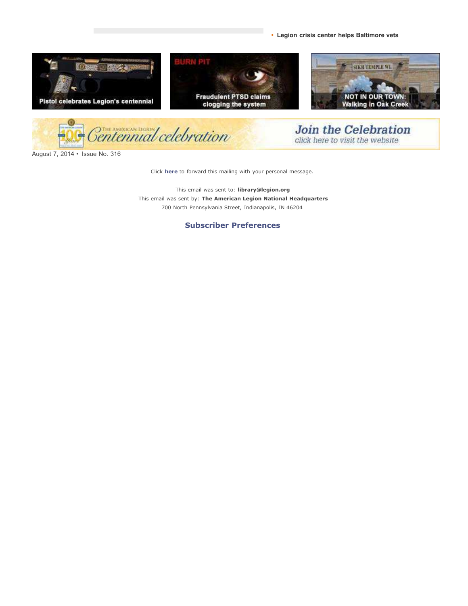**• [Legion crisis center helps Baltimore vets](http://www.legionemail.com/t/28698155/973693444/62438820/0/84772/)**



August 7, 2014 • Issue No. 316

Click **[here](http://editor.legionemail.com/htmlEditor/redirectMessageID.asp?FileID=89e0c57e-9638-469b-9697-8c93e4bac458&memberid=973693444)** to forward this mailing with your personal message.

This email was sent to: **library@legion.org** This email was sent by: **The American Legion National Headquarters** 700 North Pennsylvania Street, Indianapolis, IN 46204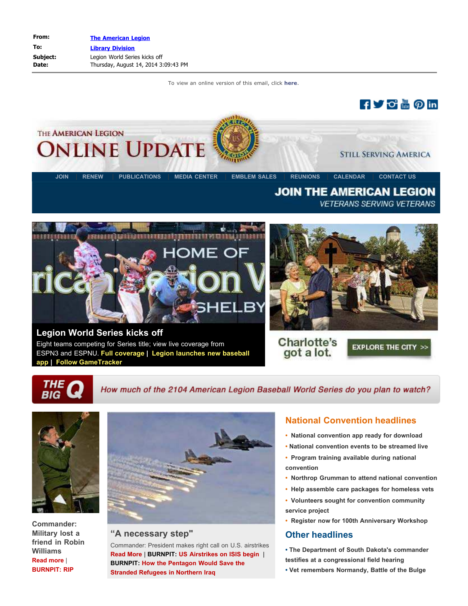



**[Legion World Series kicks off](http://www.legionemail.com/t/28722221/973693444/53385158/0/84772/)** Eight teams competing for Series title; view live coverage from

ESPN3 and ESPNU. **[Full coverage](http://www.legionemail.com/t/28722221/973693444/53385158/1/84772/) | [Legion launches new baseball](http://www.legionemail.com/t/28722221/973693444/62426097/0/84772/) [app](http://www.legionemail.com/t/28722221/973693444/62426097/0/84772/) | [Follow GameTracker](http://www.legionemail.com/t/28722221/973693444/62507052/0/84772/)**



Charlotte's got a lot.

**EXPLORE THE CITY >>** 

THE

How much of the 2104 American Legion Baseball World Series do you plan to watch?



**Commander: Military lost a friend in Robin Williams [Read more](http://www.legionemail.com/t/28722221/973693444/62506765/0/84772/)** | **[BURNPIT: RIP](http://www.legionemail.com/t/28722221/973693444/62507057/0/84772/)**



#### **"A necessary step"**

Commander: President makes right call on U.S. airstrikes **[Read More](http://www.legionemail.com/t/28722221/973693444/62506769/0/84772/)** | **BURNPIT: [US Airstrikes on ISIS begin](http://www.legionemail.com/t/28722221/973693444/62506773/0/84772/)** | **BURNPIT[:](http://www.legionemail.com/t/28722221/973693444/62506775/0/84772/) [How the Pentagon Would Save the](http://www.legionemail.com/t/28722221/973693444/62506775/0/84772/) [Stranded Refugees in Northern Iraq](http://www.legionemail.com/t/28722221/973693444/62506775/0/84772/)**

# **National Convention headlines**

- **[•](http://www.legionemail.com/t/28722221/973693444/62507063/0/84772/) [National convention app ready for download](http://www.legionemail.com/t/28722221/973693444/62507063/0/84772/)**
- **[•](http://www.legionemail.com/t/28722221/973693444/62278063/0/84772/) [National convention events to be streamed live](http://www.legionemail.com/t/28722221/973693444/62278063/0/84772/)**
- **• [Program training available during national](http://www.legionemail.com/t/28722221/973693444/62506779/0/84772/) [convention](http://www.legionemail.com/t/28722221/973693444/62506779/0/84772/)**
- **• [Northrop Grumman to attend national convention](http://www.legionemail.com/t/28722221/973693444/62506781/0/84772/)**
- **• [Help assemble care packages for homeless vets](http://www.legionemail.com/t/28722221/973693444/62506783/0/84772/)**
- **• [Volunteers sought for convention community](http://www.legionemail.com/t/28722221/973693444/62506786/0/84772/) [service project](http://www.legionemail.com/t/28722221/973693444/62506786/0/84772/)**
- **• [Register now for 100th Anniversary Workshop](http://www.legionemail.com/t/28722221/973693444/62278066/0/84772/)**

#### **Other headlines**

**[•](http://www.legionemail.com/t/28722221/973693444/62507185/0/84772/) [The Department of South Dakota's commander](http://www.legionemail.com/t/28722221/973693444/62507185/0/84772/) [testifies at a congressional field hearing](http://www.legionemail.com/t/28722221/973693444/62507185/0/84772/)**

**• [Vet remembers Normandy, Battle of the Bulge](http://www.legionemail.com/t/28722221/973693444/62506789/0/84772/)**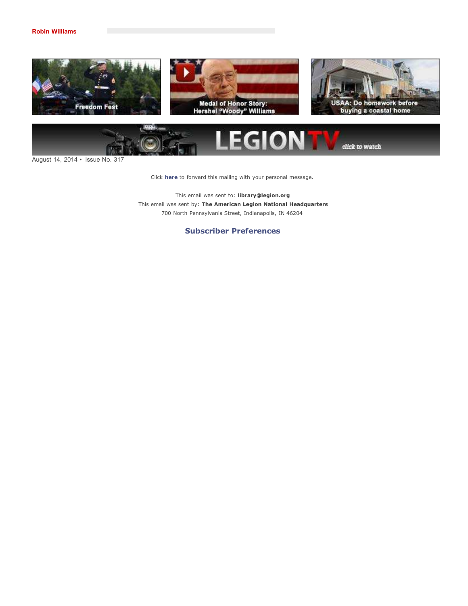



August 14, 2014 • Issue No. 317

Click **[here](http://editor.legionemail.com/htmlEditor/redirectMessageID.asp?FileID=0a09e57f-391a-4a30-9d02-43c31dd1cdd2&memberid=973693444)** to forward this mailing with your personal message.

This email was sent to: **library@legion.org** This email was sent by: **The American Legion National Headquarters** 700 North Pennsylvania Street, Indianapolis, IN 46204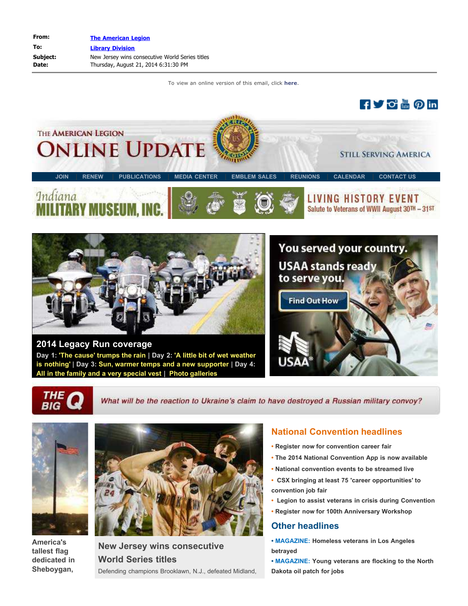



**[2014 Legacy Run coverage](http://www.legionemail.com/t/28746734/973693444/53955072/0/84772/) Day 1: ['The cause' trumps the rain](http://www.legionemail.com/t/28746734/973693444/62573653/0/84772/) | Day 2: ['A little bit of wet weather](http://www.legionemail.com/t/28746734/973693444/62573656/0/84772/) [is nothing'](http://www.legionemail.com/t/28746734/973693444/62573656/0/84772/) | Day 3: [Sun, warmer temps and a new supporter](http://www.legionemail.com/t/28746734/973693444/62573657/0/84772/) | Day 4: [All in the family and a very special vest |](http://www.legionemail.com/t/28746734/973693444/62573662/0/84772/) [Photo galleries](http://www.legionemail.com/t/28746734/973693444/62574337/0/84772/)**





What will be the reaction to Ukraine's claim to have destroyed a Russian military convoy?



**America's tallest flag dedicated in Sheboygan,**



**New Jersey wins consecutive World Series titles** Defending champions Brooklawn, N.J., defeated Midland,

#### **National Convention headlines**

- **[Register now for convention career fair](http://www.legionemail.com/t/28746734/973693444/62573669/0/84772/)**
- **[The 2014 National Convention App is now available](http://www.legionemail.com/t/28746734/973693444/62507063/2/84772/)**
- **[•](http://www.legionemail.com/t/28746734/973693444/62278063/0/84772/) [National convention events to be streamed live](http://www.legionemail.com/t/28746734/973693444/62278063/0/84772/)**
- **• [CSX bringing at least 75 'career opportunities' to](http://www.legionemail.com/t/28746734/973693444/62573673/0/84772/) [convention job fair](http://www.legionemail.com/t/28746734/973693444/62573673/0/84772/)**
- **• [Legion to assist veterans in crisis during Convention](http://www.legionemail.com/t/28746734/973693444/62573677/0/84772/)**
- **• [Register now for 100th Anniversary Workshop](http://www.legionemail.com/t/28746734/973693444/62278066/0/84772/)**

#### **Other headlines**

- **[•](http://www.legionemail.com/t/28746734/973693444/62573678/0/84772/) [MAGAZINE: Homeless veterans in Los Angeles](http://www.legionemail.com/t/28746734/973693444/62573678/0/84772/) [betrayed](http://www.legionemail.com/t/28746734/973693444/62573678/0/84772/)**
- **[•](http://www.legionemail.com/t/28746734/973693444/62573681/0/84772/) [MAGAZINE: Young veterans are flocking to the North](http://www.legionemail.com/t/28746734/973693444/62573681/0/84772/) [Dakota oil patch for jobs](http://www.legionemail.com/t/28746734/973693444/62573681/0/84772/)**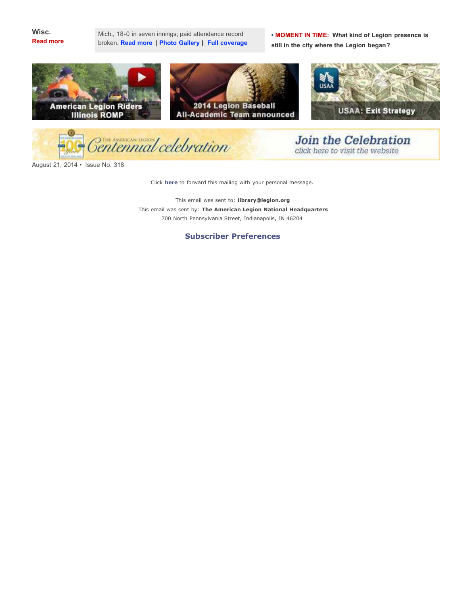

Mich., 18-0 in seven innings; paid attendance record broken. **[Read more](http://www.legionemail.com/t/28746734/973693444/62566416/0/84772/)** | **[Photo Gallery |](http://www.legionemail.com/t/28746734/973693444/54233710/0/84772/) [Full coverage](http://www.legionemail.com/t/28746734/973693444/53385158/0/84772/)** **• MOMENT IN TIME: [What kind of Legion presence is](http://www.legionemail.com/t/28746734/973693444/62573684/0/84772/) [still in the city where the Legion began?](http://www.legionemail.com/t/28746734/973693444/62573684/0/84772/)**



entennial celebration

**Join the Celebration** click here to visit the website

August 21, 2014 • Issue No. 318

Click **[here](http://editor.legionemail.com/htmlEditor/redirectMessageID.asp?FileID=e4607500-470e-4456-9b55-35e5f9d7c8c5&memberid=973693444)** to forward this mailing with your personal message.

This email was sent to: **library@legion.org** This email was sent by: **The American Legion National Headquarters** 700 North Pennsylvania Street, Indianapolis, IN 46204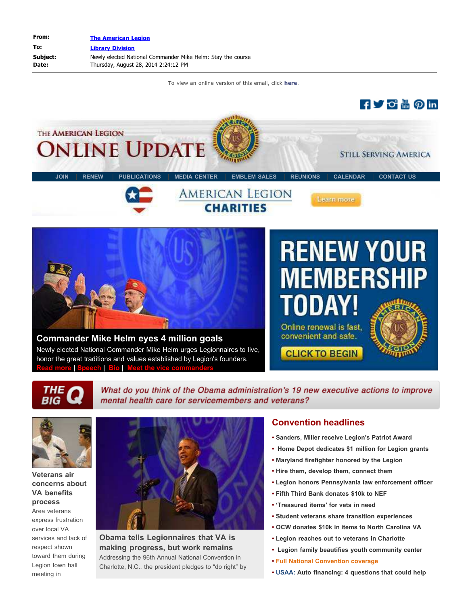

**BIG** 

What do you think of the Obama administration's 19 new executive actions to improve mental health care for servicemembers and veterans?



**Veterans air concerns about VA benefits process** Area veterans express frustration over local VA services and lack of respect shown toward them during Legion town hall meeting in



**Obama tells Legionnaires that VA is making progress, but work remains** Addressing the 96th Annual National Convention in Charlotte, N.C., the president pledges to "do right" by

#### **Convention headlines**

- **• [Sanders, Miller receive Legion's Patriot Award](http://www.legionemail.com/t/28770014/973693444/62623874/0/84772/)**
- **• [Home Depot dedicates \\$1 million for Legion grants](http://www.legionemail.com/t/28770014/973693444/62624187/0/84772/)**
- **• [Maryland firefighter honored by the Legion](http://www.legionemail.com/t/28770014/973693444/62623877/0/84772/)**
- **• [Hire them, develop them, connect them](http://www.legionemail.com/t/28770014/973693444/62623878/0/84772/)**
- **• [Legion honors Pennsylvania law enforcement officer](http://www.legionemail.com/t/28770014/973693444/62623879/0/84772/)**
- **• [Fifth Third Bank donates \\$10k to NEF](http://www.legionemail.com/t/28770014/973693444/62623880/0/84772/)**
- **• ['Treasured items' for vets in need](http://www.legionemail.com/t/28770014/973693444/62623881/0/84772/)**
- **• [Student veterans share transition experiences](http://www.legionemail.com/t/28770014/973693444/62623884/0/84772/)**
- **• [OCW donates \\$10k in items to North Carolina VA](http://www.legionemail.com/t/28770014/973693444/62623889/0/84772/)**
- **• [Legion reaches out to veterans in Charlotte](http://www.legionemail.com/t/28770014/973693444/62624414/0/84772/)**
- **• [Legion family beautifies youth community center](http://www.legionemail.com/t/28770014/973693444/62623894/0/84772/)**
- **• [Full National Convention coverage](http://www.legionemail.com/t/28770014/973693444/54161401/0/84772/)**
- **• [USAA: Auto financing: 4 questions that could help](http://www.legionemail.com/t/28770014/973693444/62623905/0/84772/)**